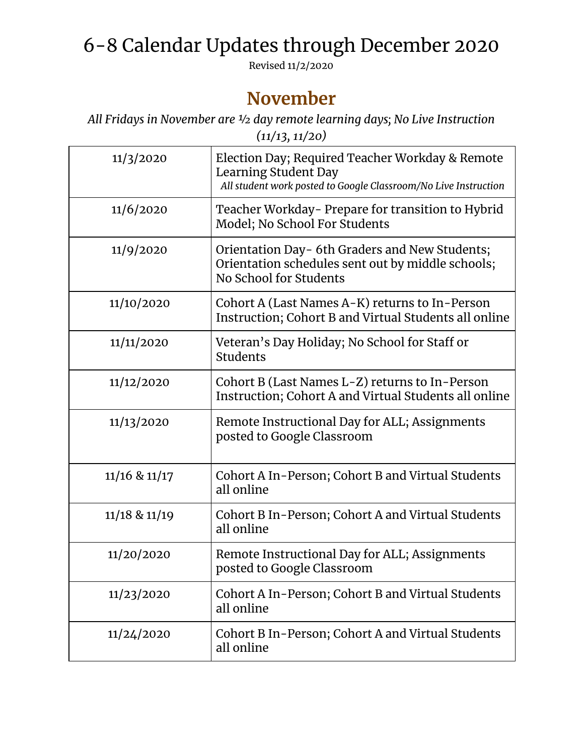## 6-8 Calendar Updates through December 2020

Revised 11/2/2020

## **November**

*All Fridays in November are ½ day remote learning days; No Live Instruction (11/13, 11/20)*

| 11/3/2020         | Election Day; Required Teacher Workday & Remote<br>Learning Student Day<br>All student work posted to Google Classroom/No Live Instruction |
|-------------------|--------------------------------------------------------------------------------------------------------------------------------------------|
| 11/6/2020         | Teacher Workday- Prepare for transition to Hybrid<br>Model; No School For Students                                                         |
| 11/9/2020         | Orientation Day- 6th Graders and New Students;<br>Orientation schedules sent out by middle schools;<br>No School for Students              |
| 11/10/2020        | Cohort A (Last Names A-K) returns to In-Person<br>Instruction; Cohort B and Virtual Students all online                                    |
| 11/11/2020        | Veteran's Day Holiday; No School for Staff or<br>Students                                                                                  |
| 11/12/2020        | Cohort B (Last Names L-Z) returns to In-Person<br>Instruction; Cohort A and Virtual Students all online                                    |
| 11/13/2020        | Remote Instructional Day for ALL; Assignments<br>posted to Google Classroom                                                                |
| $11/16$ & $11/17$ | Cohort A In-Person; Cohort B and Virtual Students<br>all online                                                                            |
| $11/18$ & $11/19$ | Cohort B In-Person; Cohort A and Virtual Students<br>all online                                                                            |
| 11/20/2020        | Remote Instructional Day for ALL; Assignments<br>posted to Google Classroom                                                                |
| 11/23/2020        | Cohort A In-Person; Cohort B and Virtual Students<br>all online                                                                            |
| 11/24/2020        | Cohort B In-Person; Cohort A and Virtual Students<br>all online                                                                            |